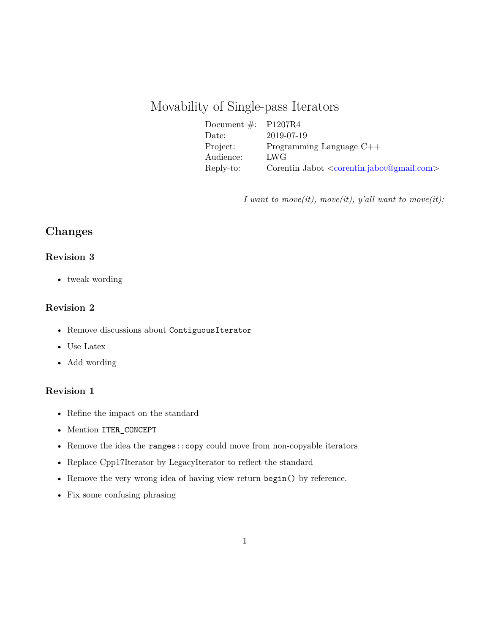# Movability of Single-pass Iterators

| Document $\#$ : P1207R4 |                                                    |
|-------------------------|----------------------------------------------------|
| $\text{Date:}$          | 2019-07-19                                         |
| Project:                | Programming Language $C++$                         |
| Audience:               | LWG <sup>-</sup>                                   |
| Reply-to:               | Corentin Jabot $\langle$ corentin.jabot@gmail.com> |

*I want to move(it), move(it), y'all want to move(it);*

# **Changes**

### **Revision 3**

• tweak wording

## **Revision 2**

- Remove discussions about ContiguousIterator
- Use Latex
- Add wording

#### **Revision 1**

- Refine the impact on the standard
- Mention ITER\_CONCEPT
- Remove the idea the ranges::copy could move from non-copyable iterators
- Replace Cpp17Iterator by LegacyIterator to reflect the standard
- Remove the very wrong idea of having view return begin() by reference.
- Fix some confusing phrasing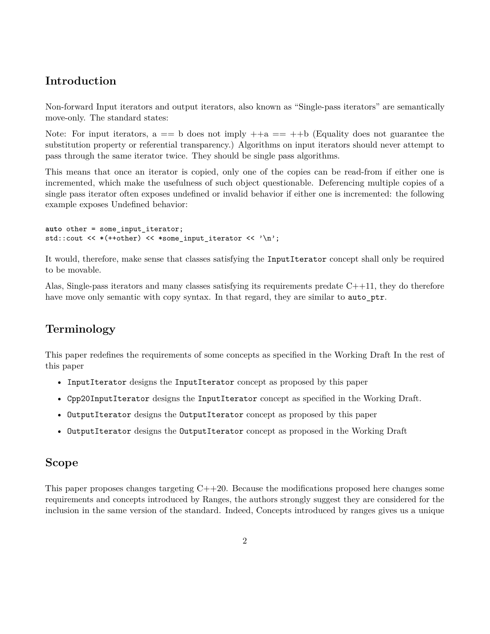# **Introduction**

Non-forward Input iterators and output iterators, also known as "Single-pass iterators" are semantically move-only. The standard states:

Note: For input iterators,  $a == b$  does not imply  $++a == ++b$  (Equality does not guarantee the substitution property or referential transparency.) Algorithms on input iterators should never attempt to pass through the same iterator twice. They should be single pass algorithms.

This means that once an iterator is copied, only one of the copies can be read-from if either one is incremented, which make the usefulness of such object questionable. Deferencing multiple copies of a single pass iterator often exposes undefined or invalid behavior if either one is incremented: the following example exposes Undefined behavior:

```
auto other = some_input_iterator;
std::cout << *(++other) << *some_input_iterator << '\n';
```
It would, therefore, make sense that classes satisfying the InputIterator concept shall only be required to be movable.

Alas, Single-pass iterators and many classes satisfying its requirements predate  $C++11$ , they do therefore have move only semantic with copy syntax. In that regard, they are similar to auto ptr.

# **Terminology**

This paper redefines the requirements of some concepts as specified in the Working Draft In the rest of this paper

- InputIterator designs the InputIterator concept as proposed by this paper
- Cpp20InputIterator designs the InputIterator concept as specified in the Working Draft.
- OutputIterator designs the OutputIterator concept as proposed by this paper
- OutputIterator designs the OutputIterator concept as proposed in the Working Draft

# **Scope**

This paper proposes changes targeting C++20. Because the modifications proposed here changes some requirements and concepts introduced by Ranges, the authors strongly suggest they are considered for the inclusion in the same version of the standard. Indeed, Concepts introduced by ranges gives us a unique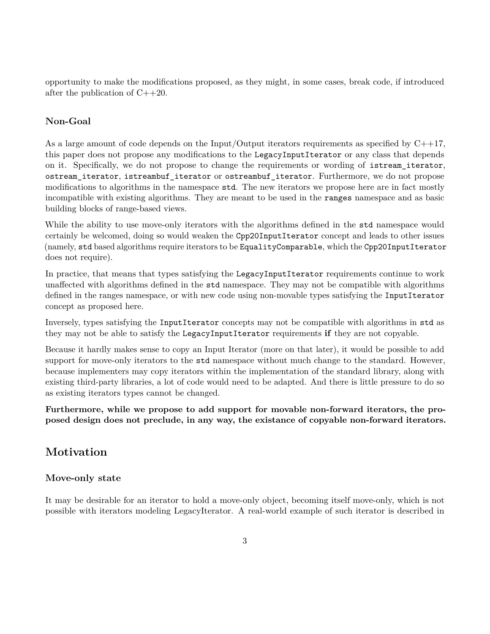opportunity to make the modifications proposed, as they might, in some cases, break code, if introduced after the publication of C++20.

## **Non-Goal**

As a large amount of code depends on the Input/Output iterators requirements as specified by  $C++17$ , this paper does not propose any modifications to the LegacyInputIterator or any class that depends on it. Specifically, we do not propose to change the requirements or wording of istream iterator, ostream\_iterator, istreambuf\_iterator or ostreambuf\_iterator. Furthermore, we do not propose modifications to algorithms in the namespace std. The new iterators we propose here are in fact mostly incompatible with existing algorithms. They are meant to be used in the ranges namespace and as basic building blocks of range-based views.

While the ability to use move-only iterators with the algorithms defined in the std namespace would certainly be welcomed, doing so would weaken the Cpp20InputIterator concept and leads to other issues (namely, std based algorithms require iterators to be EqualityComparable, which the Cpp20InputIterator does not require).

In practice, that means that types satisfying the LegacyInputIterator requirements continue to work unaffected with algorithms defined in the std namespace. They may not be compatible with algorithms defined in the ranges namespace, or with new code using non-movable types satisfying the InputIterator concept as proposed here.

Inversely, types satisfying the InputIterator concepts may not be compatible with algorithms in std as they may not be able to satisfy the LegacyInputIterator requirements **if** they are not copyable.

Because it hardly makes sense to copy an Input Iterator (more on that later), it would be possible to add support for move-only iterators to the std namespace without much change to the standard. However, because implementers may copy iterators within the implementation of the standard library, along with existing third-party libraries, a lot of code would need to be adapted. And there is little pressure to do so as existing iterators types cannot be changed.

**Furthermore, while we propose to add support for movable non-forward iterators, the proposed design does not preclude, in any way, the existance of copyable non-forward iterators.**

# **Motivation**

### **Move-only state**

It may be desirable for an iterator to hold a move-only object, becoming itself move-only, which is not possible with iterators modeling LegacyIterator. A real-world example of such iterator is described in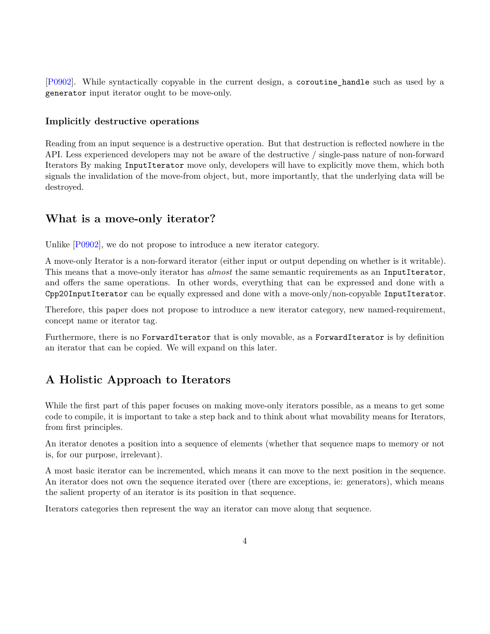[\[P0902\]](#page-31-0). While syntactically copyable in the current design, a coroutine\_handle such as used by a generator input iterator ought to be move-only.

#### **Implicitly destructive operations**

Reading from an input sequence is a destructive operation. But that destruction is reflected nowhere in the API. Less experienced developers may not be aware of the destructive / single-pass nature of non-forward Iterators By making InputIterator move only, developers will have to explicitly move them, which both signals the invalidation of the move-from object, but, more importantly, that the underlying data will be destroyed.

# **What is a move-only iterator?**

Unlike [\[P0902\]](#page-31-0), we do not propose to introduce a new iterator category.

A move-only Iterator is a non-forward iterator (either input or output depending on whether is it writable). This means that a move-only iterator has *almost* the same semantic requirements as an InputIterator, and offers the same operations. In other words, everything that can be expressed and done with a Cpp20InputIterator can be equally expressed and done with a move-only/non-copyable InputIterator.

Therefore, this paper does not propose to introduce a new iterator category, new named-requirement, concept name or iterator tag.

Furthermore, there is no ForwardIterator that is only movable, as a ForwardIterator is by definition an iterator that can be copied. We will expand on this later.

# **A Holistic Approach to Iterators**

While the first part of this paper focuses on making move-only iterators possible, as a means to get some code to compile, it is important to take a step back and to think about what movability means for Iterators, from first principles.

An iterator denotes a position into a sequence of elements (whether that sequence maps to memory or not is, for our purpose, irrelevant).

A most basic iterator can be incremented, which means it can move to the next position in the sequence. An iterator does not own the sequence iterated over (there are exceptions, ie: generators), which means the salient property of an iterator is its position in that sequence.

Iterators categories then represent the way an iterator can move along that sequence.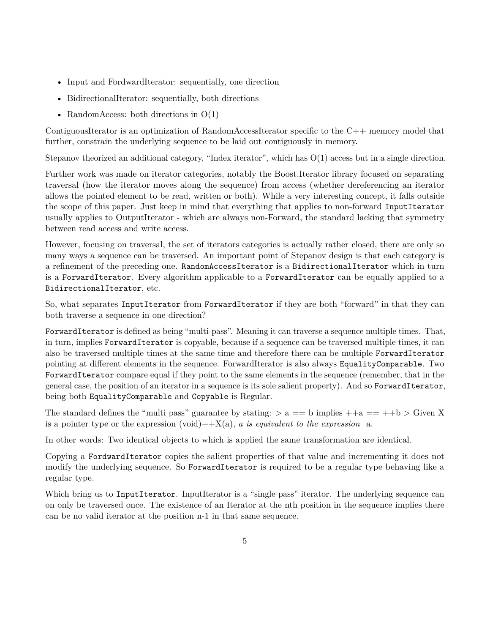- Input and FordwardIterator: sequentially, one direction
- BidirectionalIterator: sequentially, both directions
- RandomAccess: both directions in  $O(1)$

ContiguousIterator is an optimization of RandomAccessIterator specific to the C++ memory model that further, constrain the underlying sequence to be laid out contiguously in memory.

Stepanov theorized an additional category, "Index iterator", which has O(1) access but in a single direction.

Further work was made on iterator categories, notably the Boost.Iterator library focused on separating traversal (how the iterator moves along the sequence) from access (whether dereferencing an iterator allows the pointed element to be read, written or both). While a very interesting concept, it falls outside the scope of this paper. Just keep in mind that everything that applies to non-forward InputIterator usually applies to OutputIterator - which are always non-Forward, the standard lacking that symmetry between read access and write access.

However, focusing on traversal, the set of iterators categories is actually rather closed, there are only so many ways a sequence can be traversed. An important point of Stepanov design is that each category is a refinement of the preceding one. RandomAccessIterator is a BidirectionalIterator which in turn is a ForwardIterator. Every algorithm applicable to a ForwardIterator can be equally applied to a BidirectionalIterator, etc.

So, what separates InputIterator from ForwardIterator if they are both "forward" in that they can both traverse a sequence in one direction?

ForwardIterator is defined as being "multi-pass". Meaning it can traverse a sequence multiple times. That, in turn, implies ForwardIterator is copyable, because if a sequence can be traversed multiple times, it can also be traversed multiple times at the same time and therefore there can be multiple ForwardIterator pointing at different elements in the sequence. ForwardIterator is also always EqualityComparable. Two ForwardIterator compare equal if they point to the same elements in the sequence (remember, that in the general case, the position of an iterator in a sequence is its sole salient property). And so ForwardIterator, being both EqualityComparable and Copyable is Regular.

The standard defines the "multi pass" guarantee by stating:  $>a == b$  implies  $++a == ++b >$  Given X is a pointer type or the expression  $(void)++X(a)$ , *a is equivalent to the expression* a.

In other words: Two identical objects to which is applied the same transformation are identical.

Copying a FordwardIterator copies the salient properties of that value and incrementing it does not modify the underlying sequence. So ForwardIterator is required to be a regular type behaving like a regular type.

Which bring us to InputIterator. InputIterator is a "single pass" iterator. The underlying sequence can on only be traversed once. The existence of an Iterator at the nth position in the sequence implies there can be no valid iterator at the position n-1 in that same sequence.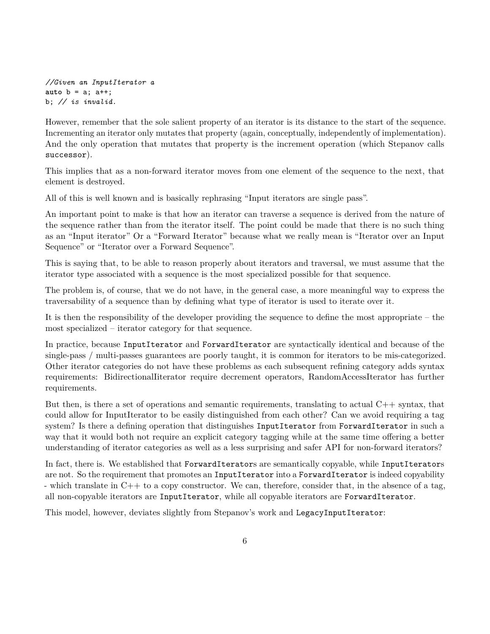```
//Given an InputIterator a
auto b = a; a++;
b; // is invalid.
```
However, remember that the sole salient property of an iterator is its distance to the start of the sequence. Incrementing an iterator only mutates that property (again, conceptually, independently of implementation). And the only operation that mutates that property is the increment operation (which Stepanov calls successor).

This implies that as a non-forward iterator moves from one element of the sequence to the next, that element is destroyed.

All of this is well known and is basically rephrasing "Input iterators are single pass".

An important point to make is that how an iterator can traverse a sequence is derived from the nature of the sequence rather than from the iterator itself. The point could be made that there is no such thing as an "Input iterator" Or a "Forward Iterator" because what we really mean is "Iterator over an Input Sequence" or "Iterator over a Forward Sequence".

This is saying that, to be able to reason properly about iterators and traversal, we must assume that the iterator type associated with a sequence is the most specialized possible for that sequence.

The problem is, of course, that we do not have, in the general case, a more meaningful way to express the traversability of a sequence than by defining what type of iterator is used to iterate over it.

It is then the responsibility of the developer providing the sequence to define the most appropriate – the most specialized – iterator category for that sequence.

In practice, because InputIterator and ForwardIterator are syntactically identical and because of the single-pass / multi-passes guarantees are poorly taught, it is common for iterators to be mis-categorized. Other iterator categories do not have these problems as each subsequent refining category adds syntax requirements: BidirectionalIiterator require decrement operators, RandomAccessIterator has further requirements.

But then, is there a set of operations and semantic requirements, translating to actual  $C++$  syntax, that could allow for InputIterator to be easily distinguished from each other? Can we avoid requiring a tag system? Is there a defining operation that distinguishes InputIterator from ForwardIterator in such a way that it would both not require an explicit category tagging while at the same time offering a better understanding of iterator categories as well as a less surprising and safer API for non-forward iterators?

In fact, there is. We established that ForwardIterators are semantically copyable, while InputIterators are not. So the requirement that promotes an InputIterator into a ForwardIterator is indeed copyability - which translate in  $C++$  to a copy constructor. We can, therefore, consider that, in the absence of a tag, all non-copyable iterators are InputIterator, while all copyable iterators are ForwardIterator.

This model, however, deviates slightly from Stepanov's work and LegacyInputIterator: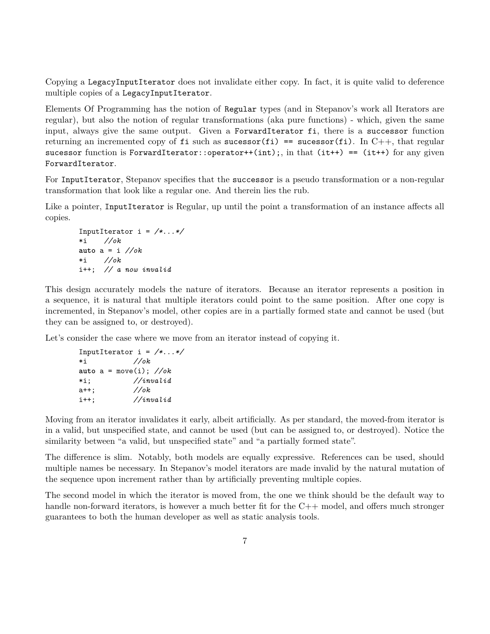Copying a LegacyInputIterator does not invalidate either copy. In fact, it is quite valid to deference multiple copies of a LegacyInputIterator.

Elements Of Programming has the notion of Regular types (and in Stepanov's work all Iterators are regular), but also the notion of regular transformations (aka pure functions) - which, given the same input, always give the same output. Given a ForwardIterator fi, there is a successor function returning an incremented copy of fi such as sucessor(fi) == sucessor(fi). In C++, that regular sucessor function is ForwardIterator::operator++(int);, in that (it++) == (it++) for any given ForwardIterator.

For InputIterator, Stepanov specifies that the successor is a pseudo transformation or a non-regular transformation that look like a regular one. And therein lies the rub.

Like a pointer, InputIterator is Regular, up until the point a transformation of an instance affects all copies.

```
InputIterator i = /*...*/
*i //ok
auto a = i //ok
*i //ok
i++; // a now invalid
```
This design accurately models the nature of iterators. Because an iterator represents a position in a sequence, it is natural that multiple iterators could point to the same position. After one copy is incremented, in Stepanov's model, other copies are in a partially formed state and cannot be used (but they can be assigned to, or destroyed).

Let's consider the case where we move from an iterator instead of copying it.

```
InputIterator i = /*...*/
*i //ok
auto a = move(i); //ok
*i; //invalid
a++; //ok
i++; //invalid
```
Moving from an iterator invalidates it early, albeit artificially. As per standard, the moved-from iterator is in a valid, but unspecified state, and cannot be used (but can be assigned to, or destroyed). Notice the similarity between "a valid, but unspecified state" and "a partially formed state".

The difference is slim. Notably, both models are equally expressive. References can be used, should multiple names be necessary. In Stepanov's model iterators are made invalid by the natural mutation of the sequence upon increment rather than by artificially preventing multiple copies.

The second model in which the iterator is moved from, the one we think should be the default way to handle non-forward iterators, is however a much better fit for the C++ model, and offers much stronger guarantees to both the human developer as well as static analysis tools.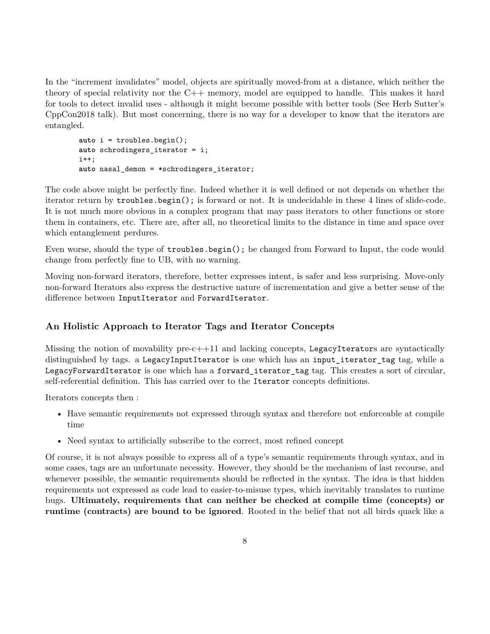In the "increment invalidates" model, objects are spiritually moved-from at a distance, which neither the theory of special relativity nor the C++ memory, model are equipped to handle. This makes it hard for tools to detect invalid uses - although it might become possible with better tools (See Herb Sutter's CppCon2018 talk). But most concerning, there is no way for a developer to know that the iterators are entangled.

```
auto i = troubles.begin();
auto schrodingers_iterator = i;
i++;
auto nasal_demon = *schrodingers_iterator;
```
The code above might be perfectly fine. Indeed whether it is well defined or not depends on whether the iterator return by troubles.begin(); is forward or not. It is undecidable in these 4 lines of slide-code. It is not much more obvious in a complex program that may pass iterators to other functions or store them in containers, etc. There are, after all, no theoretical limits to the distance in time and space over which entanglement perdures.

Even worse, should the type of troubles.begin(); be changed from Forward to Input, the code would change from perfectly fine to UB, with no warning.

Moving non-forward iterators, therefore, better expresses intent, is safer and less surprising. Move-only non-forward Iterators also express the destructive nature of incrementation and give a better sense of the difference between InputIterator and ForwardIterator.

### **An Holistic Approach to Iterator Tags and Iterator Concepts**

Missing the notion of movability  $pre-c++11$  and lacking concepts, LegacyIterators are syntactically distinguished by tags. a LegacyInputIterator is one which has an input\_iterator\_tag tag, while a LegacyForwardIterator is one which has a forward iterator tag tag. This creates a sort of circular, self-referential definition. This has carried over to the Iterator concepts definitions.

Iterators concepts then :

- Have semantic requirements not expressed through syntax and therefore not enforceable at compile time
- Need syntax to artificially subscribe to the correct, most refined concept

Of course, it is not always possible to express all of a type's semantic requirements through syntax, and in some cases, tags are an unfortunate necessity. However, they should be the mechanism of last recourse, and whenever possible, the semantic requirements should be reflected in the syntax. The idea is that hidden requirements not expressed as code lead to easier-to-misuse types, which inevitably translates to runtime bugs. **Ultimately, requirements that can neither be checked at compile time (concepts) or runtime (contracts) are bound to be ignored**. Rooted in the belief that not all birds quack like a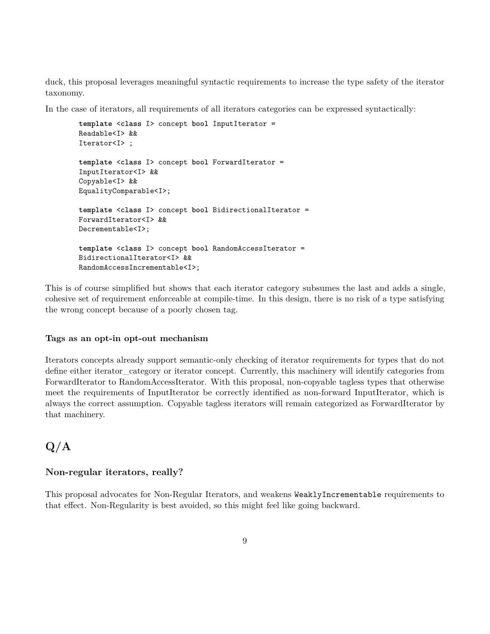duck, this proposal leverages meaningful syntactic requirements to increase the type safety of the iterator taxonomy.

In the case of iterators, all requirements of all iterators categories can be expressed syntactically:

```
template <class I> concept bool InputIterator =
Readable<I> &&
Iterator<I> ;
template <class I> concept bool ForwardIterator =
InputIterator<I> &&
Copyable<I> &&
EqualityComparable<I>;
template <class I> concept bool BidirectionalIterator =
ForwardIterator<I> &&
Decrementable<I>;
template <class I> concept bool RandomAccessIterator =
BidirectionalIterator<I> &&
RandomAccessIncrementable<I>;
```
This is of course simplified but shows that each iterator category subsumes the last and adds a single, cohesive set of requirement enforceable at compile-time. In this design, there is no risk of a type satisfying the wrong concept because of a poorly chosen tag.

#### **Tags as an opt-in opt-out mechanism**

Iterators concepts already support semantic-only checking of iterator requirements for types that do not define either iterator category or iterator concept. Currently, this machinery will identify categories from ForwardIterator to RandomAccessIterator. With this proposal, non-copyable tagless types that otherwise meet the requirements of InputIterator be correctly identified as non-forward InputIterator, which is always the correct assumption. Copyable tagless iterators will remain categorized as ForwardIterator by that machinery.

# **Q/A**

#### **Non-regular iterators, really?**

This proposal advocates for Non-Regular Iterators, and weakens WeaklyIncrementable requirements to that effect. Non-Regularity is best avoided, so this might feel like going backward.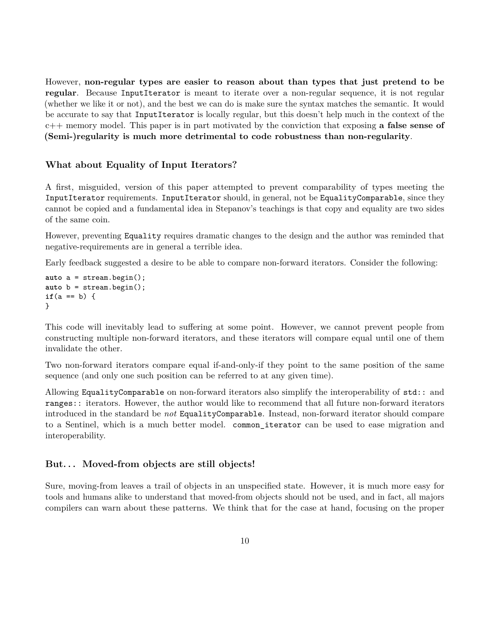However, **non-regular types are easier to reason about than types that just pretend to be regular**. Because InputIterator is meant to iterate over a non-regular sequence, it is not regular (whether we like it or not), and the best we can do is make sure the syntax matches the semantic. It would be accurate to say that InputIterator is locally regular, but this doesn't help much in the context of the c++ memory model. This paper is in part motivated by the conviction that exposing **a false sense of (Semi-)regularity is much more detrimental to code robustness than non-regularity**.

#### **What about Equality of Input Iterators?**

A first, misguided, version of this paper attempted to prevent comparability of types meeting the InputIterator requirements. InputIterator should, in general, not be EqualityComparable, since they cannot be copied and a fundamental idea in Stepanov's teachings is that copy and equality are two sides of the same coin.

However, preventing Equality requires dramatic changes to the design and the author was reminded that negative-requirements are in general a terrible idea.

Early feedback suggested a desire to be able to compare non-forward iterators. Consider the following:

```
auto a = stream.begin();
auto b = stream.begin();
if(a == b) {
}
```
This code will inevitably lead to suffering at some point. However, we cannot prevent people from constructing multiple non-forward iterators, and these iterators will compare equal until one of them invalidate the other.

Two non-forward iterators compare equal if-and-only-if they point to the same position of the same sequence (and only one such position can be referred to at any given time).

Allowing EqualityComparable on non-forward iterators also simplify the interoperability of std:: and ranges:: iterators. However, the author would like to recommend that all future non-forward iterators introduced in the standard be *not* EqualityComparable. Instead, non-forward iterator should compare to a Sentinel, which is a much better model. common iterator can be used to ease migration and interoperability.

#### **But. . . Moved-from objects are still objects!**

Sure, moving-from leaves a trail of objects in an unspecified state. However, it is much more easy for tools and humans alike to understand that moved-from objects should not be used, and in fact, all majors compilers can warn about these patterns. We think that for the case at hand, focusing on the proper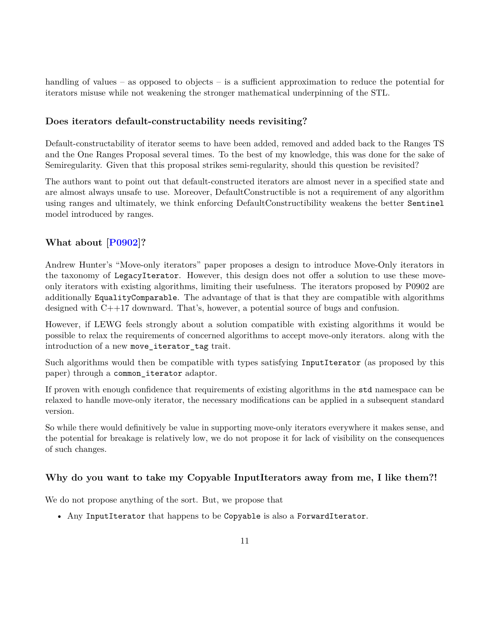handling of values – as opposed to objects – is a sufficient approximation to reduce the potential for iterators misuse while not weakening the stronger mathematical underpinning of the STL.

#### **Does iterators default-constructability needs revisiting?**

Default-constructability of iterator seems to have been added, removed and added back to the Ranges TS and the One Ranges Proposal several times. To the best of my knowledge, this was done for the sake of Semiregularity. Given that this proposal strikes semi-regularity, should this question be revisited?

The authors want to point out that default-constructed iterators are almost never in a specified state and are almost always unsafe to use. Moreover, DefaultConstructible is not a requirement of any algorithm using ranges and ultimately, we think enforcing DefaultConstructibility weakens the better Sentinel model introduced by ranges.

## **What about [\[P0902\]](#page-31-0)?**

Andrew Hunter's "Move-only iterators" paper proposes a design to introduce Move-Only iterators in the taxonomy of LegacyIterator. However, this design does not offer a solution to use these moveonly iterators with existing algorithms, limiting their usefulness. The iterators proposed by P0902 are additionally EqualityComparable. The advantage of that is that they are compatible with algorithms designed with C++17 downward. That's, however, a potential source of bugs and confusion.

However, if LEWG feels strongly about a solution compatible with existing algorithms it would be possible to relax the requirements of concerned algorithms to accept move-only iterators. along with the introduction of a new move\_iterator\_tag trait.

Such algorithms would then be compatible with types satisfying InputIterator (as proposed by this paper) through a common\_iterator adaptor.

If proven with enough confidence that requirements of existing algorithms in the std namespace can be relaxed to handle move-only iterator, the necessary modifications can be applied in a subsequent standard version.

So while there would definitively be value in supporting move-only iterators everywhere it makes sense, and the potential for breakage is relatively low, we do not propose it for lack of visibility on the consequences of such changes.

### **Why do you want to take my Copyable InputIterators away from me, I like them?!**

We do not propose anything of the sort. But, we propose that

• Any InputIterator that happens to be Copyable is also a ForwardIterator.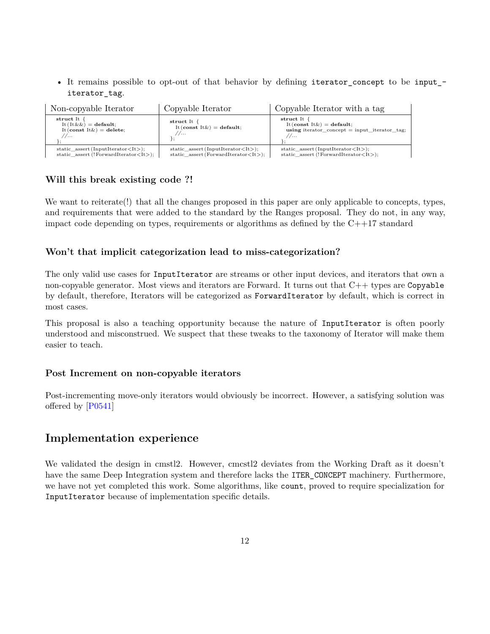• It remains possible to opt-out of that behavior by defining iterator\_concept to be input\_ iterator\_tag.

| Non-copyable Iterator                                                                                               | Copyable Iterator                                                                                  | Copyable Iterator with a tag                                                                                        |
|---------------------------------------------------------------------------------------------------------------------|----------------------------------------------------------------------------------------------------|---------------------------------------------------------------------------------------------------------------------|
| struct It {<br>It $(It \&\&) =$ default;<br>It (const It $\&)$ = delete;<br>//                                      | struct It {<br>It (const It $\&)$ = default;<br>1/                                                 | struct It {<br>It (const It $\&)$ = default;<br>using iterator_concept = input_iterator_tag;<br>1/                  |
| static assert (InputIterator $\langle$ It $\rangle$ );<br>static_assert (!ForwardIterator $\langle$ It $\rangle$ ); | static_assert(InputIterator $\langle$ It $\rangle$ );<br>$static\_assert(ForwardIterator < It>)$ ; | static assert (InputIterator $\langle$ It $\rangle$ );<br>static_assert (!ForwardIterator $\langle$ It $\rangle$ ); |

#### **Will this break existing code ?!**

We want to reiterate(!) that all the changes proposed in this paper are only applicable to concepts, types, and requirements that were added to the standard by the Ranges proposal. They do not, in any way, impact code depending on types, requirements or algorithms as defined by the  $C++17$  standard

#### **Won't that implicit categorization lead to miss-categorization?**

The only valid use cases for InputIterator are streams or other input devices, and iterators that own a non-copyable generator. Most views and iterators are Forward. It turns out that C++ types are Copyable by default, therefore, Iterators will be categorized as ForwardIterator by default, which is correct in most cases.

This proposal is also a teaching opportunity because the nature of InputIterator is often poorly understood and misconstrued. We suspect that these tweaks to the taxonomy of Iterator will make them easier to teach.

#### **Post Increment on non-copyable iterators**

Post-incrementing move-only iterators would obviously be incorrect. However, a satisfying solution was offered by [\[P0541\]](#page-31-1)

# **Implementation experience**

We validated the design in cmstl2. However, cmcstl2 deviates from the Working Draft as it doesn't have the same Deep Integration system and therefore lacks the ITER\_CONCEPT machinery. Furthermore, we have not yet completed this work. Some algorithms, like count, proved to require specialization for InputIterator because of implementation specific details.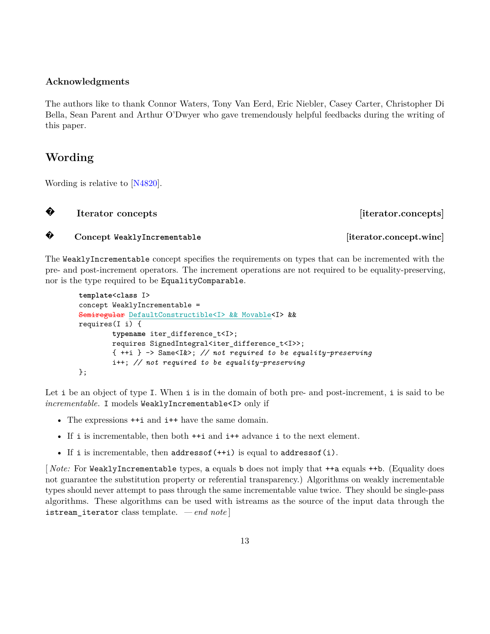#### **Acknowledgments**

The authors like to thank Connor Waters, Tony Van Eerd, Eric Niebler, Casey Carter, Christopher Di Bella, Sean Parent and Arthur O'Dwyer who gave tremendously helpful feedbacks during the writing of this paper.

# **Wording**

Wording is relative to [\[N4820\]](#page-31-2).

**?**

**Iterator concepts iterator.concepts** 

#### **? Concept WeaklyIncrementable [iterator.concept.winc]**

The WeaklyIncrementable concept specifies the requirements on types that can be incremented with the pre- and post-increment operators. The increment operations are not required to be equality-preserving, nor is the type required to be EqualityComparable.

```
template<class I>
concept WeaklyIncrementable =
Semiregular DefaultConstructible<I> && Movable<I> &&
requires(I i) {
        typename iter_difference_t<I>;
        requires SignedIntegral<iter_difference_t<I>>;
        { ++i } -> Same<I&>; // not required to be equality-preserving
        i++; // not required to be equality-preserving
};
```
Let i be an object of type I. When i is in the domain of both pre- and post-increment, i is said to be *incrementable*. I models WeaklyIncrementable<I> only if

- The expressions  $++i$  and  $i++$  have the same domain.
- If i is incrementable, then both ++i and i++ advance i to the next element.
- If i is incrementable, then  $addressof(+i)$  is equal to  $addressof(i)$ .

[ *Note:* For WeaklyIncrementable types, a equals b does not imply that ++a equals ++b. (Equality does not guarantee the substitution property or referential transparency.) Algorithms on weakly incrementable types should never attempt to pass through the same incrementable value twice. They should be single-pass algorithms. These algorithms can be used with istreams as the source of the input data through the istream\_iterator class template. *— end note* ]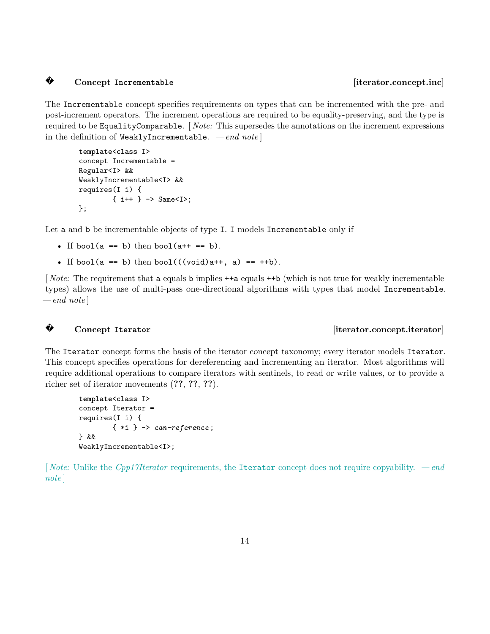#### **? Concept** Incrementable **and incrementable concept.inc**

The Incrementable concept specifies requirements on types that can be incremented with the pre- and post-increment operators. The increment operations are required to be equality-preserving, and the type is required to be EqualityComparable. [ *Note:* This supersedes the annotations on the increment expressions in the definition of WeaklyIncrementable. *— end note* ]

```
template<class I>
concept Incrementable =
Regular<I> &&
WeaklyIncrementable<I> &&
requires(I i) {
        \{ i++ \} \rightarrow Same<I>;
};
```
Let a and b be incrementable objects of type I. I models Incrementable only if

- If bool( $a == b$ ) then bool( $a++ == b$ ).
- If bool(a == b) then bool(((void)a++, a) == ++b).

[*Note:* The requirement that a equals b implies  $++a$  equals  $++b$  (which is not true for weakly incrementable types) allows the use of multi-pass one-directional algorithms with types that model Incrementable. *— end note* ]

### **?**

#### **Concept Iterator** *concept Iterator literator.concept.iterator*

The Iterator concept forms the basis of the iterator concept taxonomy; every iterator models Iterator. This concept specifies operations for dereferencing and incrementing an iterator. Most algorithms will require additional operations to compare iterators with sentinels, to read or write values, or to provide a richer set of iterator movements (**??**, **??**, **??**).

```
template<class I>
concept Iterator =
requires(I i) {
        { *i } -> can-reference ;
} &&
WeaklyIncrementable<I>;
```
[ *Note:* Unlike the *Cpp17Iterator* requirements, the Iterator concept does not require copyability. *— end note* ]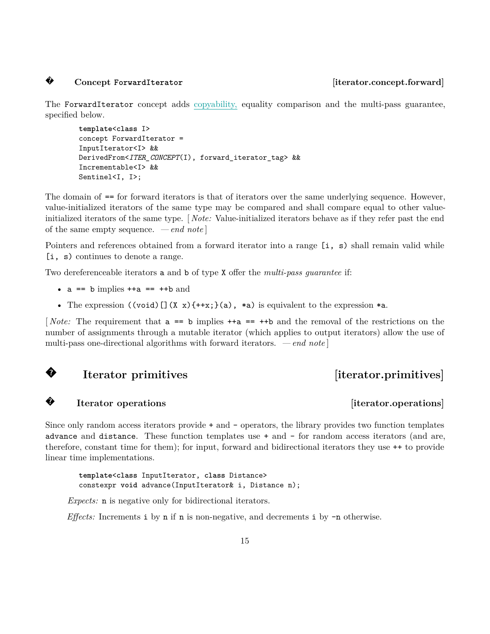### **?**

#### **Concept ForwardIterator [iterator.concept.forward]**

The ForwardIterator concept adds copyability, equality comparison and the multi-pass guarantee, specified below.

```
template<class I>
concept ForwardIterator =
InputIterator<I> &&
DerivedFrom<ITER_CONCEPT(I), forward_iterator_tag> &&
Incrementable<I> &&
Sentinel<I, I>;
```
The domain of == for forward iterators is that of iterators over the same underlying sequence. However, value-initialized iterators of the same type may be compared and shall compare equal to other valueinitialized iterators of the same type. [ *Note:* Value-initialized iterators behave as if they refer past the end of the same empty sequence. *— end note* ]

Pointers and references obtained from a forward iterator into a range [i, s) shall remain valid while [i, s) continues to denote a range.

Two dereferenceable iterators a and b of type X offer the *multi-pass guarantee* if:

- $a == b$  implies  $++a == ++b$  and
- The expression  $((void) [](X x){+x};(a), *a)$  is equivalent to the expression  $*a$ .

[ *Note:* The requirement that a == b implies ++a == ++b and the removal of the restrictions on the number of assignments through a mutable iterator (which applies to output iterators) allow the use of multi-pass one-directional algorithms with forward iterators. *— end note* ]

#### **?Iterator primitives** [iterator.primitives]

#### **?**

Since only random access iterators provide + and - operators, the library provides two function templates advance and distance. These function templates use + and - for random access iterators (and are, therefore, constant time for them); for input, forward and bidirectional iterators they use ++ to provide linear time implementations.

**template**<**class** InputIterator, **class** Distance> constexpr **void** advance(InputIterator& i, Distance n);

*Expects:* n is negative only for bidirectional iterators.

*Effects:* Increments i by n if n is non-negative, and decrements i by -n otherwise.

#### **Iterator operations** [iterator.operations]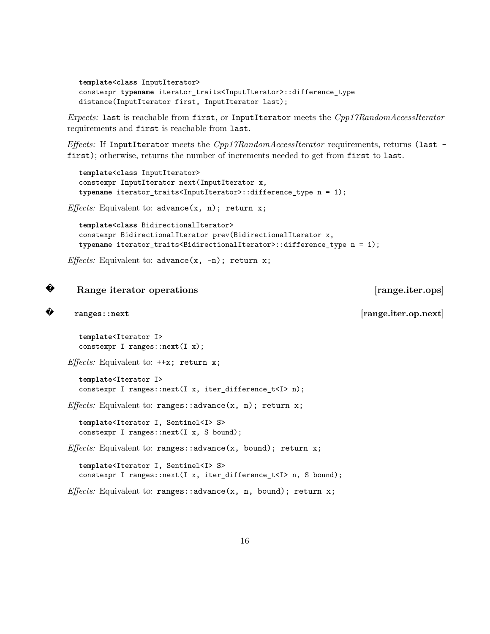```
template<class InputIterator>
constexpr typename iterator_traits<InputIterator>::difference_type
distance(InputIterator first, InputIterator last);
```
*Expects:* last is reachable from first, or InputIterator meets the *Cpp17RandomAccessIterator* requirements and first is reachable from last.

*Effects:* If InputIterator meets the *Cpp17RandomAccessIterator* requirements, returns (last first); otherwise, returns the number of increments needed to get from first to last.

```
template<class InputIterator>
constexpr InputIterator next(InputIterator x,
typename iterator_traits<InputIterator>::difference_type n = 1);
```
*Effects:* Equivalent to: advance(x, n); return x;

```
template<class BidirectionalIterator>
constexpr BidirectionalIterator prev(BidirectionalIterator x,
typename iterator_traits<BidirectionalIterator>::difference_type n = 1);
```

```
Effects: Equivalent to: advance(x, -n); return x;
```

```
?Range iterator operations [range.iter.ops]
```

```
?
```
**ranges::next [range.iter.op.next]**

```
template<Iterator I>
constexpr I ranges::next(I x);
```
*Effects:* Equivalent to: ++x; return x;

```
template<Iterator I>
constexpr I ranges::next(I x, iter difference t<I> n);
```
*Effects:* Equivalent to: ranges::advance(x, n); return x;

**template**<Iterator I, Sentinel<I> S> constexpr I ranges::next(I x, S bound);

*Effects:* Equivalent to: ranges::advance(x, bound); return x;

**template**<Iterator I, Sentinel<I> S> constexpr I ranges::next(I x, iter\_difference\_t<I> n, S bound);

*Effects:* Equivalent to: ranges::advance(x, n, bound); return x;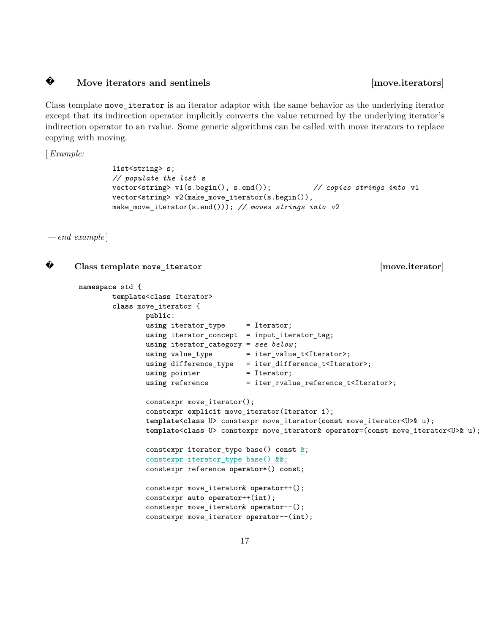#### **?**Move iterators and sentinels **contract in the sense of the sense in the sense of the sense of the sense in the sense of the sense in the sense of the sense of the sense in the sense of the sense of the sense of the sense o**

Class template move\_iterator is an iterator adaptor with the same behavior as the underlying iterator except that its indirection operator implicitly converts the value returned by the underlying iterator's indirection operator to an rvalue. Some generic algorithms can be called with move iterators to replace copying with moving.

[*Example:*

```
list<string> s;
// populate the list s
vector<string> v1(s.begin(), s.end()); // copies strings into v1
vector<string> v2(make_move_iterator(s.begin()),
make_move_iterator(s.end())); // moves strings into v2
```
*— end example* ]

**?**

```
Class template move_iterator [move.iterator]
namespace std {
        template<class Iterator>
        class move_iterator {
               public:
               using iterator_type = Iterator;
               using iterator_concept = input_iterator_tag;
               using iterator_category = see below ;
               using value_type = iter_value_t<Iterator>;
               using difference_type = iter_difference_t<Iterator>;
               using pointer = Iterator;
               using reference = iter\_rvalue\_reference\_t \leq Iterator;
               constexpr move_iterator();
               constexpr explicit move_iterator(Iterator i);
               template<class U> constexpr move_iterator(const move_iterator<U>& u);
               template<class U> constexpr move_iterator& operator=(const move_iterator<U>& u);
               constexpr iterator_type base() const &;
               constexpr iterator_type base() &&;
               constexpr reference operator*() const;
               constexpr move_iterator& operator++();
               constexpr auto operator++(int);
               constexpr move_iterator& operator--();
               constexpr move_iterator operator--(int);
```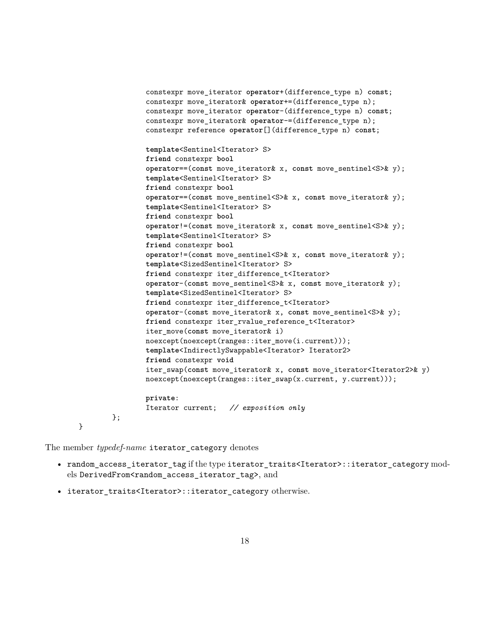```
constexpr move_iterator operator+(difference_type n) const;
        constexpr move_iterator& operator+=(difference_type n);
        constexpr move_iterator operator-(difference_type n) const;
        constexpr move_iterator& operator-=(difference_type n);
        constexpr reference operator[](difference_type n) const;
        template<Sentinel<Iterator> S>
        friend constexpr bool
        operator==(const move_iterator& x, const move_sentinel<S>& y);
        template<Sentinel<Iterator> S>
        friend constexpr bool
        operator==(const move_sentinel<S>& x, const move_iterator& y);
        template<Sentinel<Iterator> S>
        friend constexpr bool
        operator!=(const move_iterator& x, const move_sentinel<S>& y);
        template<Sentinel<Iterator> S>
        friend constexpr bool
        operator!=(const move_sentinel<S>& x, const move_iterator& y);
        template<SizedSentinel<Iterator> S>
        friend constexpr iter_difference_t<Iterator>
        operator-(const move_sentinel<S>& x, const move_iterator& y);
        template<SizedSentinel<Iterator> S>
        friend constexpr iter_difference_t<Iterator>
        operator-(const move_iterator& x, const move_sentinel<S>& y);
        friend constexpr iter_rvalue_reference_t<Iterator>
        iter_move(const move_iterator& i)
        noexcept(noexcept(ranges::iter_move(i.current)));
        template<IndirectlySwappable<Iterator> Iterator2>
        friend constexpr void
        iter_swap(const move_iterator& x, const move_iterator<Iterator2>& y)
        noexcept(noexcept(ranges::iter_swap(x.current, y.current)));
        private:
        Iterator current; // exposition only
};
```
The member *typedef-name* iterator\_category denotes

}

- random\_access\_iterator\_tag if the type iterator\_traits<Iterator>::iterator\_category models DerivedFrom<random\_access\_iterator\_tag>, and
- iterator\_traits<Iterator>::iterator\_category otherwise.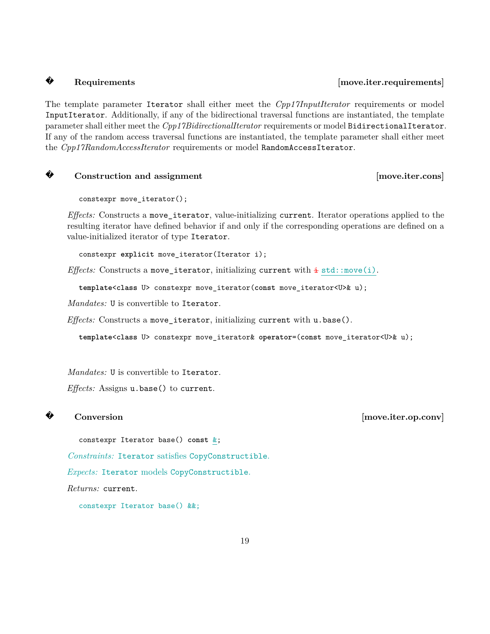## **?**

#### Requirements *Requirements*

The template parameter Iterator shall either meet the *Cpp17InputIterator* requirements or model InputIterator. Additionally, if any of the bidirectional traversal functions are instantiated, the template parameter shall either meet the *Cpp17BidirectionalIterator* requirements or model BidirectionalIterator. If any of the random access traversal functions are instantiated, the template parameter shall either meet the *Cpp17RandomAccessIterator* requirements or model RandomAccessIterator.

```
?
```
**Construction and assignment** [move.iter.cons]

constexpr move\_iterator();

*Effects:* Constructs a move\_iterator, value-initializing current. Iterator operations applied to the resulting iterator have defined behavior if and only if the corresponding operations are defined on a value-initialized iterator of type Iterator.

constexpr **explicit** move\_iterator(Iterator i);

*Effects:* Constructs a move\_iterator, initializing current with  $\pm$  std::move(i).

**template**<**class** U> constexpr move\_iterator(**const** move\_iterator<U>& u);

*Mandates:* U is convertible to Iterator.

*Effects:* Constructs a move\_iterator, initializing current with u.base().

**template**<**class** U> constexpr move\_iterator& **operator**=(**const** move\_iterator<U>& u);

*Mandates:* U is convertible to Iterator.

*Effects:* Assigns u.base() to current.

**?**

constexpr Iterator base() **const** &;

*Constraints:* Iterator satisfies CopyConstructible.

*Expects:* Iterator models CopyConstructible.

*Returns:* current.

constexpr Iterator base() &&;

**Conversion** [move.iter.op.conv]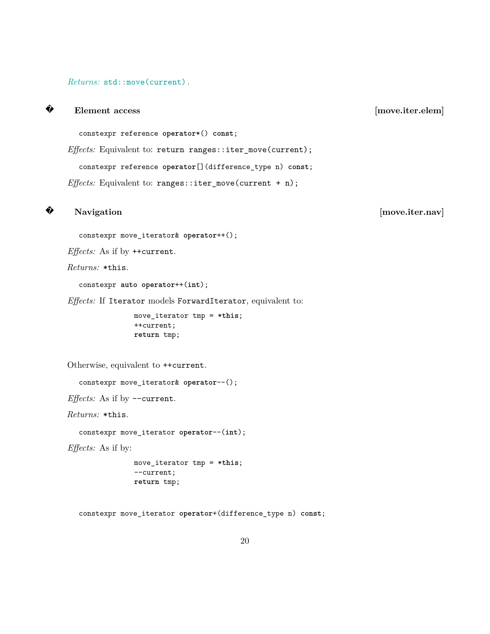#### *Returns:* std::move(current).

**Element access** [move.iter.elem]

constexpr reference **operator**\*() **const**;

*Effects:* Equivalent to: return ranges::iter\_move(current);

constexpr reference **operator**[](difference\_type n) **const**;

*Effects:* Equivalent to: ranges::iter\_move(current + n);

**?**

**?**

#### Navigation [move.iter.nav]

constexpr move\_iterator& **operator**++();

*Effects:* As if by ++current.

*Returns:* \*this.

constexpr **auto operator**++(**int**);

*Effects:* If Iterator models ForwardIterator, equivalent to:

move\_iterator tmp = \***this**; ++current; **return** tmp;

Otherwise, equivalent to ++current.

constexpr move\_iterator& **operator**--();

*Effects:* As if by --current.

*Returns:* \*this.

constexpr move\_iterator **operator**--(**int**);

*Effects:* As if by:

move\_iterator tmp = \***this**; --current; **return** tmp;

constexpr move\_iterator **operator**+(difference\_type n) **const**;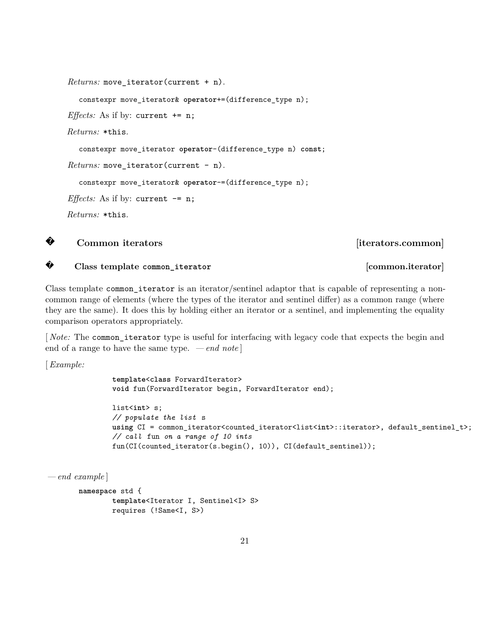```
Returns: move_iterator(current + n).
  constexpr move_iterator& operator+=(difference_type n);
Effects: As if by: current += n;Returns: *this.
  constexpr move_iterator operator-(difference_type n) const;
Returns: move_iterator(current - n).
  constexpr move_iterator& operator-=(difference_type n);
Effects: As if by: current - = n;
Returns: *this.
```


**?**

**Common iterators** [iterators.common]

**Class template common\_iterator [common.iterator]**

Class template common iterator is an iterator/sentinel adaptor that is capable of representing a noncommon range of elements (where the types of the iterator and sentinel differ) as a common range (where they are the same). It does this by holding either an iterator or a sentinel, and implementing the equality comparison operators appropriately.

[ *Note:* The common\_iterator type is useful for interfacing with legacy code that expects the begin and end of a range to have the same type. *— end note* ]

[*Example:*

```
template<class ForwardIterator>
void fun(ForwardIterator begin, ForwardIterator end);
```

```
list<int> s;
// populate the list s
using CI = common_iterator<counted_iterator<list<int>::iterator>, default_sentinel_t>;
// call fun on a range of 10 ints
fun(CI(counted_iterator(s.begin(), 10)), CI(default_sentinel));
```

```
— end example ]
```

```
namespace std {
        template<Iterator I, Sentinel<I> S>
        requires (!Same<I, S>)
```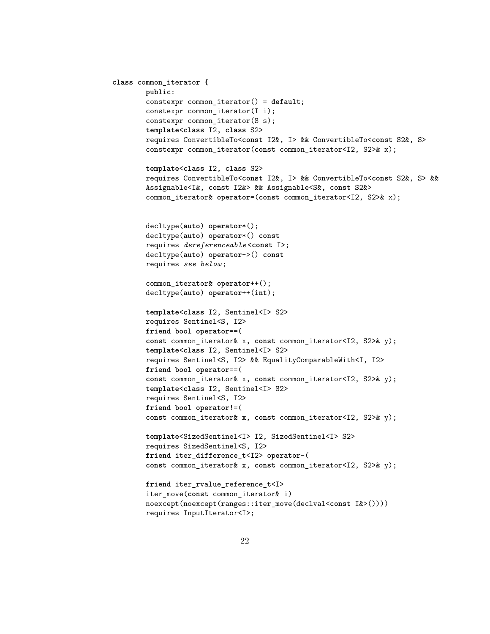```
class common_iterator {
       public:
        constexpr common_iterator() = default;
        constexpr common_iterator(I i);
        constexpr common_iterator(S s);
        template<class I2, class S2>
        requires ConvertibleTo<const I2&, I> && ConvertibleTo<const S2&, S>
        constexpr common_iterator(const common_iterator<I2, S2>& x);
        template<class I2, class S2>
       requires ConvertibleTo<const I2&, I> && ConvertibleTo<const S2&, S> &&
        Assignable<I&, const I2&> && Assignable<S&, const S2&>
        common_iterator& operator=(const common_iterator<I2, S2>& x);
        decltype(auto) operator*();
        decltype(auto) operator*() const
        requires dereferenceable <const I>;
        decltype(auto) operator->() const
        requires see below ;
        common iterator& operator++();
        decltype(auto) operator++(int);
        template<class I2, Sentinel<I> S2>
       requires Sentinel<S, I2>
        friend bool operator==(
       const common_iterator& x, const common_iterator<I2, S2>& y);
        template<class I2, Sentinel<I> S2>
       requires Sentinel<S, I2> && EqualityComparableWith<I, I2>
       friend bool operator==(
        const common_iterator& x, const common_iterator<I2, S2>& y);
        template<class I2, Sentinel<I> S2>
       requires Sentinel<S, I2>
        friend bool operator!=(
        const common_iterator& x, const common_iterator<I2, S2>& y);
        template<SizedSentinel<I> I2, SizedSentinel<I> S2>
       requires SizedSentinel<S, I2>
        friend iter_difference_t<I2> operator-(
        const common_iterator& x, const common_iterator<I2, S2>& y);
       friend iter_rvalue_reference_t<I>
        iter_move(const common_iterator& i)
       noexcept(noexcept(ranges::iter_move(declval<const I&>())))
        requires InputIterator<I>;
```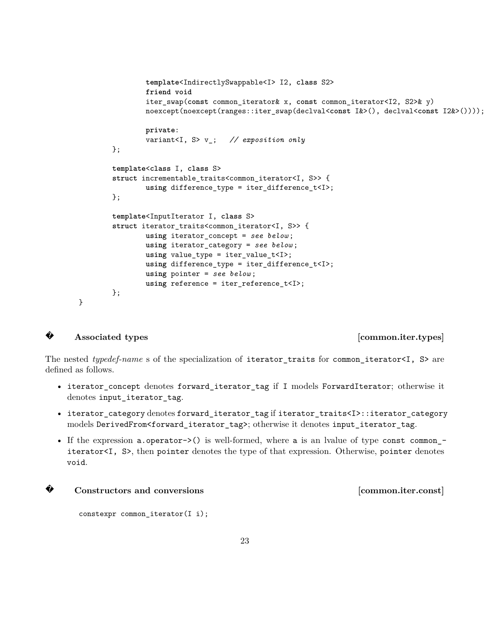```
template<IndirectlySwappable<I> I2, class S2>
        friend void
        iter_swap(const common_iterator& x, const common_iterator<I2, S2>& y)
        noexcept(noexcept(ranges::iter_swap(declval<const I&>(), declval<const I2&>())));
        private:
        variant<I, S> v_; // exposition only
};
template<class I, class S>
struct incrementable_traits<common_iterator<I, S>> {
        using difference_type = iter_difference_t<I>;
};
template<InputIterator I, class S>
struct iterator traits<common iterator<I, S>> {
        using iterator_concept = see below ;
        using iterator_category = see below ;
        using value_type = iter_value_t<I>;
        using difference_type = iter_difference_t<I>;
        using pointer = see below ;
        using reference = iter_reference_t<I>;
};
```
## **?**

}

#### Associated types **common.iter.types**

The nested *typedef-name* s of the specialization of iterator\_traits for common\_iterator<I, S> are defined as follows.

- iterator\_concept denotes forward\_iterator\_tag if I models ForwardIterator; otherwise it denotes input\_iterator\_tag.
- iterator\_category denotes forward\_iterator\_tag if iterator\_traits<I>::iterator\_category models DerivedFrom<forward\_iterator\_tag>; otherwise it denotes input\_iterator\_tag.
- If the expression a.operator- $>$ () is well-formed, where a is an lyalue of type const common iterator<I, S>, then pointer denotes the type of that expression. Otherwise, pointer denotes void.



#### **Constructors and conversions [common.iter.const]**

```
constexpr common_iterator(I i);
```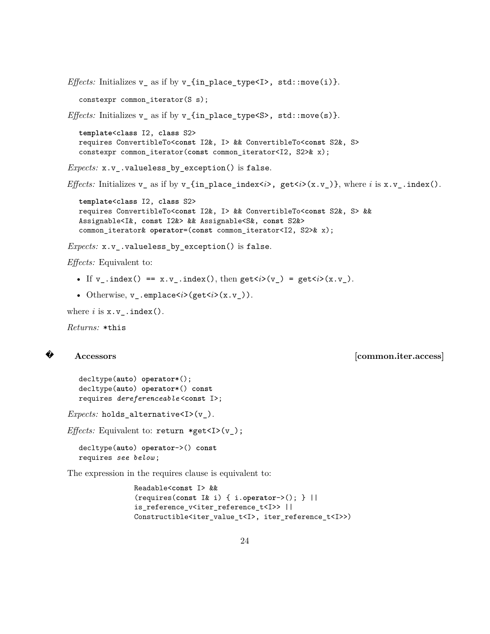```
Effects: Initializes v_a as if by v_f in place_type<I>, std::move(i) }.
  constexpr common_iterator(S s);
Effects: Initializes v_ as if by v_{in_place_type<S>, std::move(s)}.
  template<class I2, class S2>
  requires ConvertibleTo<const I2&, I> && ConvertibleTo<const S2&, S>
  constexpr common_iterator(const common_iterator<I2, S2>& x);
Expects: x.v_.valueless_by_exception() is false.
Effects: Initializes v_a as if by v_{a} {in_place_index<i>, get<i>(x.v_)}, where i is x.v_.index().
  template<class I2, class S2>
  requires ConvertibleTo<const I2&, I> && ConvertibleTo<const S2&, S> &&
  Assignable<I&, const I2&> && Assignable<S&, const S2&>
  common_iterator& operator=(const common_iterator<I2, S2>& x);
Expects: x.v_.valueless_by_exception() is false.
```
*Effects:* Equivalent to:

- If v .index() == x.v .index(), then get $\langle i \rangle$ (v) = get $\langle i \rangle$ (x.v).
- Otherwise, v\_.emplace<*i*>(get<*i*>(x.v\_)).

where  $i$  is  $x \cdot v$  .  $index()$ .

*Returns:* \*this

## **?**

**Accessors [common.iter.access]**

```
decltype(auto) operator*();
decltype(auto) operator*() const
requires dereferenceable <const I>;
```
*Expects:* holds\_alternative<I>(v\_).

*Effects:* Equivalent to: return \*get<I>(v\_);

decltype(**auto**) **operator**->() **const** requires *see below* ;

The expression in the requires clause is equivalent to:

```
Readable<const I> &&
(requires(const I& i) { i.operator->(); } ||
is_reference_v<iter_reference_t<I>> ||
Constructible<iter_value_t<I>, iter_reference_t<I>>)
```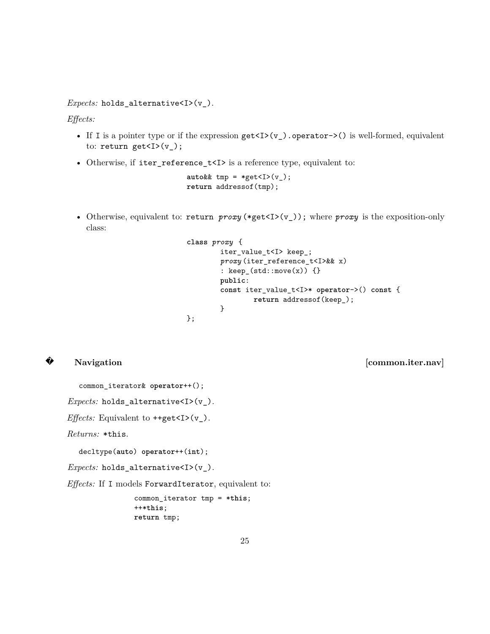*Expects:* holds\_alternative<I>(v\_).

*Effects:*

- If I is a pointer type or if the expression  $get*(v)*$ .operator->() is well-formed, equivalent to: return get<I> $(v_$ );
- Otherwise, if iter\_reference\_t<I> is a reference type, equivalent to:

 $autok\& tmp = *get < I > (v)$ ; **return** addressof(tmp);

• Otherwise, equivalent to: return *proxy* (\*get<I>(v\_)); where *proxy* is the exposition-only class:

```
class proxy {
        iter_value_t<I> keep_;
        proxy (iter_reference_t<I>&& x)
        : keep_(std::move(x)) {}
        public:
        const iter_value_t<I>* operator->() const {
                return addressof(keep_);
        }
};
```
# **?**

Navigation [common.iter.nav]

common\_iterator& **operator**++();

*Expects:* holds\_alternative<I>(v\_).

*Effects:* Equivalent to  $\text{++get}$  (v\_).

*Returns:* \*this.

decltype(**auto**) **operator**++(**int**);

*Expects:* holds\_alternative<I>(v\_).

*Effects:* If I models ForwardIterator, equivalent to:

common\_iterator tmp = \***this**; ++\***this**; **return** tmp;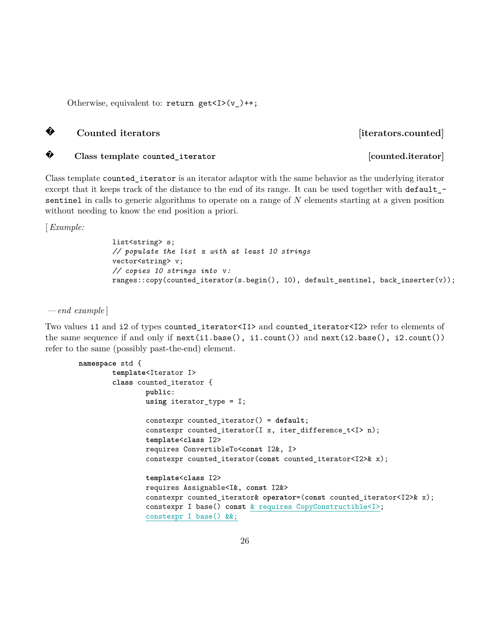Otherwise, equivalent to: return get $\langle I \rangle$  (v)++;

# **?**

Counted iterators *Counted iterators.* 

# **?**

**Class template** counted\_iterator **counterator counted.iterator** *counted.iterator* 

Class template counted\_iterator is an iterator adaptor with the same behavior as the underlying iterator except that it keeps track of the distance to the end of its range. It can be used together with default\_ sentinel in calls to generic algorithms to operate on a range of N elements starting at a given position without needing to know the end position a priori.

[*Example:*

list<string> s; *// populate the list* s *with at least 10 strings* vector<string> v; *// copies 10 strings into* v*:* ranges::copy(counted\_iterator(s.begin(), 10), default\_sentinel, back\_inserter(v));

*— end example* ]

Two values i1 and i2 of types counted iterator<I1> and counted iterator<I2> refer to elements of the same sequence if and only if next(i1.base(), i1.count()) and next(i2.base(), i2.count()) refer to the same (possibly past-the-end) element.

```
namespace std {
        template<Iterator I>
        class counted_iterator {
                public:
                using iterator_type = I;
                constexpr counted_iterator() = default;
                constexpr counted_iterator(I x, iter_difference_t<I> n);
                template<class I2>
                requires ConvertibleTo<const I2&, I>
                constexpr counted_iterator(const counted_iterator<I2>& x);
                template<class I2>
                requires Assignable<I&, const I2&>
                constexpr counted_iterator& operator=(const counted_iterator<I2>& x);
                constexpr I base() const & requires CopyConstructible<I>;
                constexpr I base() &&;
```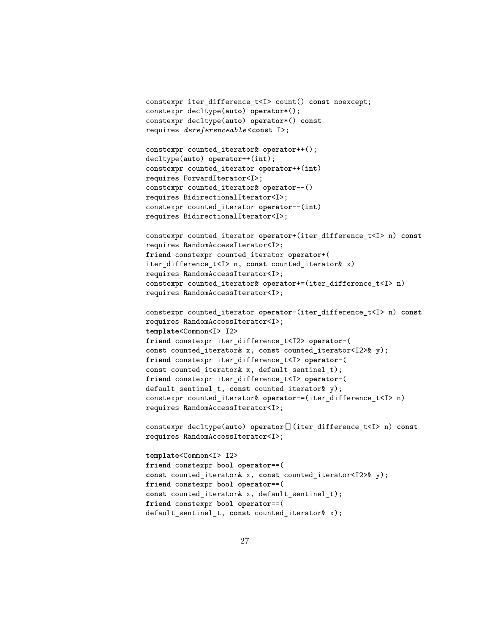```
constexpr iter_difference_t<I> count() const noexcept;
constexpr decltype(auto) operator*();
constexpr decltype(auto) operator*() const
requires dereferenceable <const I>;
```

```
constexpr counted_iterator& operator++();
decltype(auto) operator++(int);
constexpr counted_iterator operator++(int)
requires ForwardIterator<I>;
constexpr counted_iterator& operator--()
requires BidirectionalIterator<I>;
constexpr counted_iterator operator--(int)
requires BidirectionalIterator<I>;
```
constexpr counted\_iterator **operator**+(iter\_difference\_t<I> n) **const** requires RandomAccessIterator<I>; **friend** constexpr counted\_iterator **operator**+( iter\_difference\_t<I> n, **const** counted\_iterator& x) requires RandomAccessIterator<I>; constexpr counted\_iterator& **operator**+=(iter\_difference\_t<I> n) requires RandomAccessIterator<I>;

constexpr counted\_iterator **operator**-(iter\_difference\_t<I> n) **const** requires RandomAccessIterator<I>; **template**<Common<I> I2> **friend** constexpr iter\_difference\_t<I2> **operator**-( **const** counted\_iterator& x, **const** counted\_iterator<I2>& y); **friend** constexpr iter\_difference\_t<I> **operator**-( **const** counted\_iterator& x, default\_sentinel\_t); **friend** constexpr iter\_difference\_t<I> **operator**-( default sentinel t, const counted iterator & y); constexpr counted\_iterator& **operator**-=(iter\_difference\_t<I> n) requires RandomAccessIterator<I>;

constexpr decltype(**auto**) **operator**[](iter\_difference\_t<I> n) **const** requires RandomAccessIterator<I>;

**template**<Common<I> I2> **friend** constexpr **bool operator**==( **const** counted\_iterator& x, **const** counted\_iterator<I2>& y); **friend** constexpr **bool operator**==( const counted iterator& x, default sentinel t); **friend** constexpr **bool operator**==( default\_sentinel\_t, **const** counted\_iterator& x);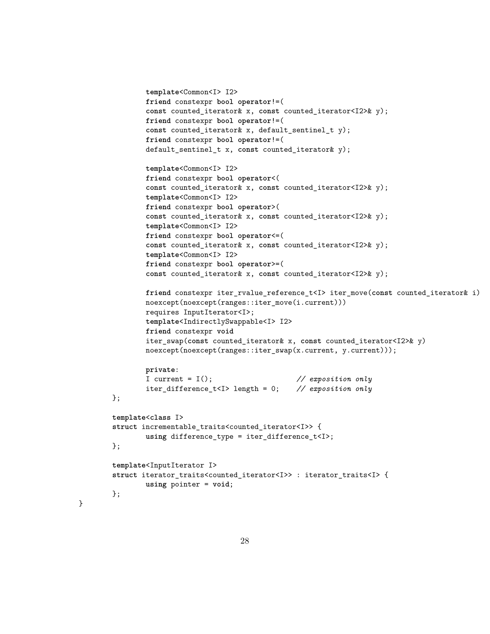```
template<Common<I> I2>
        friend constexpr bool operator!=(
        const counted_iterator& x, const counted_iterator<I2>& y);
        friend constexpr bool operator!=(
        const counted_iterator& x, default_sentinel_t y);
        friend constexpr bool operator!=(
        default_sentinel_t x, const counted_iterator& y);
        template<Common<I> I2>
        friend constexpr bool operator<(
        const counted_iterator& x, const counted_iterator<I2>& y);
        template<Common<I> I2>
        friend constexpr bool operator>(
        const counted_iterator& x, const counted_iterator<I2>& y);
        template<Common<I> I2>
        friend constexpr bool operator<=(
        const counted_iterator& x, const counted_iterator<I2>& y);
        template<Common<I> I2>
        friend constexpr bool operator>=(
        const counted_iterator& x, const counted_iterator<I2>& y);
        friend constexpr iter_rvalue_reference_t<I> iter_move(const counted_iterator& i)
        noexcept(noexcept(ranges::iter_move(i.current)))
        requires InputIterator<I>;
        template<IndirectlySwappable<I> I2>
        friend constexpr void
        iter_swap(const counted_iterator& x, const counted_iterator<I2>& y)
        noexcept(noexcept(ranges::iter_swap(x.current, y.current)));
        private:
        I current = I(); // exposition only
        iter_difference_t<I> length = 0; // exposition only
};
template<class I>
struct incrementable_traits<counted_iterator<I>> {
        using difference_type = iter_difference_t<I>;
};
template<InputIterator I>
struct iterator_traits<counted_iterator<I>> : iterator_traits<I> {
        using pointer = void;
};
```
}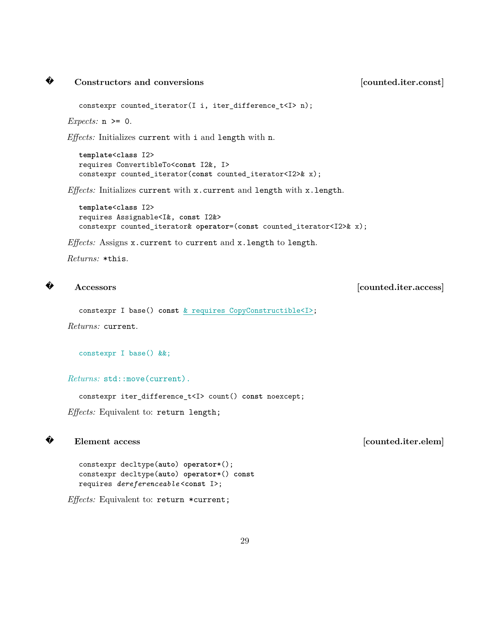#### **?** Constructors and conversions **constructions** [counted.iter.const]

constexpr counted\_iterator(I i, iter\_difference\_t<I> n);

*Expects:* n >= 0.

*Effects:* Initializes current with i and length with n.

**template**<**class** I2> requires ConvertibleTo<**const** I2&, I> constexpr counted\_iterator(**const** counted\_iterator<I2>& x);

*Effects:* Initializes current with x.current and length with x.length.

**template**<**class** I2> requires Assignable<I&, **const** I2&> constexpr counted\_iterator& **operator**=(**const** counted\_iterator<I2>& x);

*Effects:* Assigns x.current to current and x.length to length.

*Returns:* \*this.

#### **?**

**Accessors [counted.iter.access]**

constexpr I base() **const** & requires CopyConstructible<I>;

*Returns:* current.

constexpr I base() &&;

*Returns:* std::move(current).

constexpr iter\_difference\_t<I> count() **const** noexcept;

*Effects:* Equivalent to: return length;

## **?**

**Element access** [counted.iter.elem]

constexpr decltype(**auto**) **operator**\*(); constexpr decltype(**auto**) **operator**\*() **const** requires *dereferenceable* <**const** I>;

*Effects:* Equivalent to: return \*current;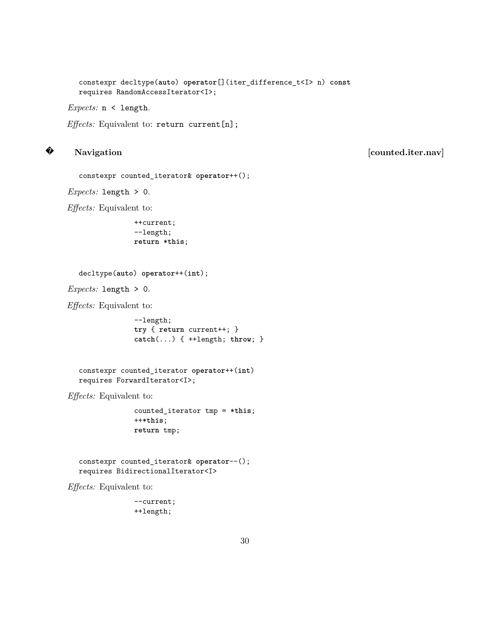constexpr decltype(**auto**) **operator**[](iter\_difference\_t<I> n) **const** requires RandomAccessIterator<I>;

*Expects:* n < length.

*Effects:* Equivalent to: return current [n];

# **?**

Navigation [counted.iter.nav]

```
constexpr counted_iterator& operator++();
```
*Expects:* length > 0.

*Effects:* Equivalent to:

```
++current;
--length;
return *this;
```

```
decltype(auto) operator++(int);
```
*Expects:* length > 0.

*Effects:* Equivalent to:

--length; **try** { **return** current++; } **catch**(...) { ++length; **throw**; }

constexpr counted\_iterator **operator**++(**int**) requires ForwardIterator<I>;

*Effects:* Equivalent to:

counted\_iterator tmp = \***this**; ++\***this**; **return** tmp;

constexpr counted\_iterator& **operator**--(); requires BidirectionalIterator<I>

*Effects:* Equivalent to:

--current; ++length;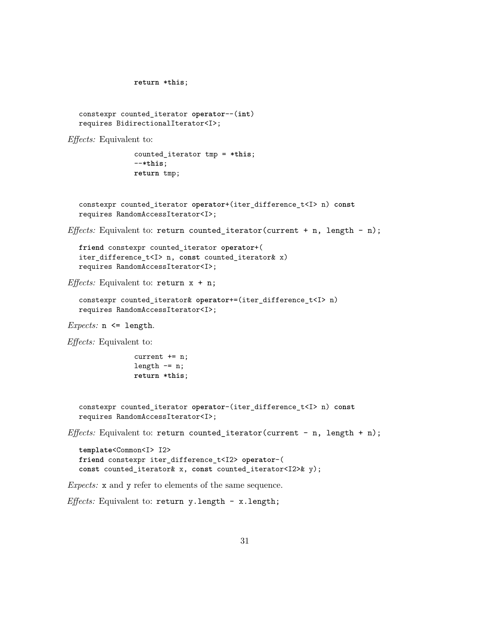```
return *this;
  constexpr counted_iterator operator--(int)
  requires BidirectionalIterator<I>;
Effects: Equivalent to:
                counted_iterator tmp = *this;
                --*this;
                return tmp;
  constexpr counted_iterator operator+(iter_difference_t<I> n) const
  requires RandomAccessIterator<I>;
Effects: Equivalent to: return counted_iterator(current + n, length - n);
  friend constexpr counted_iterator operator+(
  iter_difference_t<I> n, const counted_iterator& x)
  requires RandomAccessIterator<I>;
Effects: Equivalent to: return x + n;
  constexpr counted_iterator& operator+=(iter_difference_t<I> n)
  requires RandomAccessIterator<I>;
Expects: n <= length.
Effects: Equivalent to:
                current += n;
                length - = n;
                return *this;
  constexpr counted_iterator operator-(iter_difference_t<I> n) const
  requires RandomAccessIterator<I>;
Effects: Equivalent to: return counted_iterator(current - n, length + n);
  template<Common<I> I2>
  friend constexpr iter_difference_t<I2> operator-(
  const counted_iterator& x, const counted_iterator<I2>& y);
Expects: x and y refer to elements of the same sequence.
```
*Effects:* Equivalent to: return y.length - x.length;